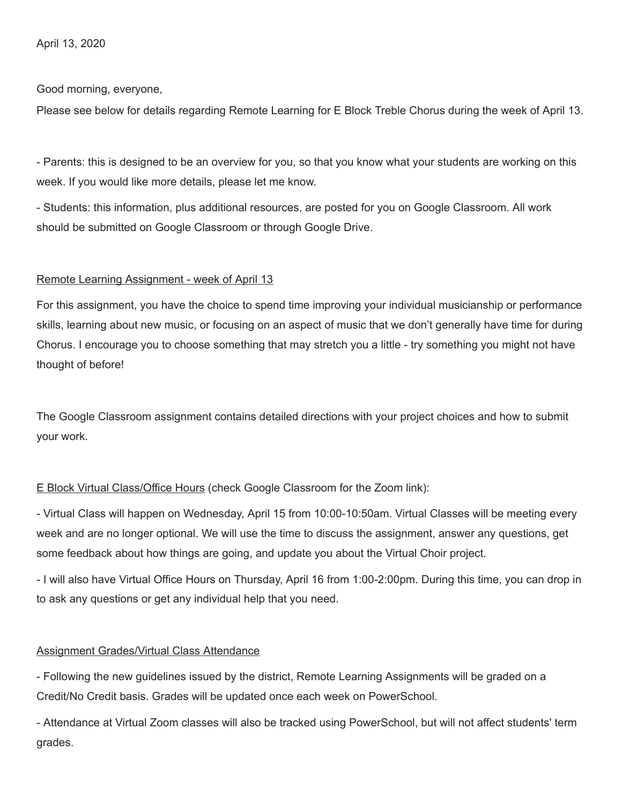April 13, 2020

Good morning, everyone,

Please see below for details regarding Remote Learning for E Block Treble Chorus during the week of April 13.

- Parents: this is designed to be an overview for you, so that you know what your students are working on this week. If you would like more details, please let me know.

- Students: this information, plus additional resources, are posted for you on Google Classroom. All work should be submitted on Google Classroom or through Google Drive.

## Remote Learning Assignment - week of April 13

For this assignment, you have the choice to spend time improving your individual musicianship or performance skills, learning about new music, or focusing on an aspect of music that we don't generally have time for during Chorus. I encourage you to choose something that may stretch you a little - try something you might not have thought of before!

The Google Classroom assignment contains detailed directions with your project choices and how to submit your work.

## E Block Virtual Class/Office Hours (check Google Classroom for the Zoom link):

- Virtual Class will happen on Wednesday, April 15 from 10:00-10:50am. Virtual Classes will be meeting every week and are no longer optional. We will use the time to discuss the assignment, answer any questions, get some feedback about how things are going, and update you about the Virtual Choir project.

- I will also have Virtual Office Hours on Thursday, April 16 from 1:00-2:00pm. During this time, you can drop in to ask any questions or get any individual help that you need.

## Assignment Grades/Virtual Class Attendance

- Following the new guidelines issued by the district, Remote Learning Assignments will be graded on a Credit/No Credit basis. Grades will be updated once each week on PowerSchool.

- Attendance at Virtual Zoom classes will also be tracked using PowerSchool, but will not affect students' term grades.